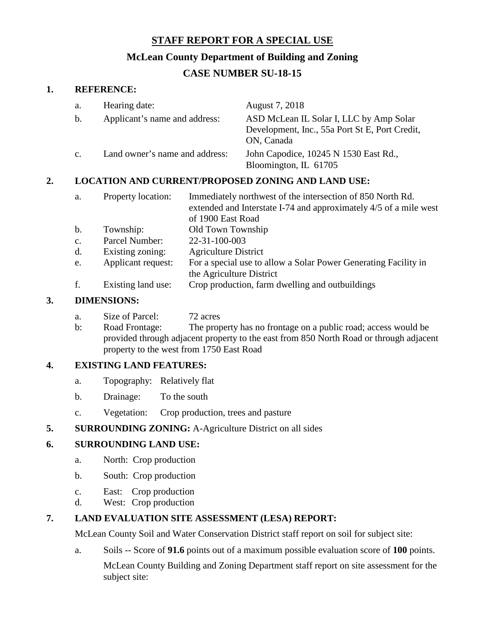# **STAFF REPORT FOR A SPECIAL USE**

## **McLean County Department of Building and Zoning**

# **CASE NUMBER SU-18-15**

#### **1. REFERENCE:**

| a.             | Hearing date:                  | August 7, 2018                                                                                          |
|----------------|--------------------------------|---------------------------------------------------------------------------------------------------------|
| b.             | Applicant's name and address:  | ASD McLean IL Solar I, LLC by Amp Solar<br>Development, Inc., 55a Port St E, Port Credit,<br>ON, Canada |
| $\mathbf{c}$ . | Land owner's name and address: | John Capodice, 10245 N 1530 East Rd.,<br>Bloomington, IL 61705                                          |

# **2. LOCATION AND CURRENT/PROPOSED ZONING AND LAND USE:**

| a.             | Property location: | Immediately northwest of the intersection of 850 North Rd.<br>extended and Interstate I-74 and approximately 4/5 of a mile west<br>of 1900 East Road |
|----------------|--------------------|------------------------------------------------------------------------------------------------------------------------------------------------------|
| b.             | Township:          | Old Town Township                                                                                                                                    |
| $\mathbf{c}$ . | Parcel Number:     | 22-31-100-003                                                                                                                                        |
| d.             | Existing zoning:   | <b>Agriculture District</b>                                                                                                                          |
| e.             | Applicant request: | For a special use to allow a Solar Power Generating Facility in                                                                                      |
|                |                    | the Agriculture District                                                                                                                             |
| f.             | Existing land use: | Crop production, farm dwelling and outbuildings                                                                                                      |

#### **3. DIMENSIONS:**

- a. Size of Parcel: 72 acres
- b: Road Frontage: The property has no frontage on a public road; access would be provided through adjacent property to the east from 850 North Road or through adjacent property to the west from 1750 East Road

# **4. EXISTING LAND FEATURES:**

- a. Topography: Relatively flat
- b. Drainage: To the south
- c. Vegetation: Crop production, trees and pasture

# **5. SURROUNDING ZONING:** A-Agriculture District on all sides

# **6. SURROUNDING LAND USE:**

- a. North: Crop production
- b. South: Crop production
- c. East: Crop production
- d. West: Crop production

# **7. LAND EVALUATION SITE ASSESSMENT (LESA) REPORT:**

McLean County Soil and Water Conservation District staff report on soil for subject site:

a. Soils -- Score of **91.6** points out of a maximum possible evaluation score of **100** points.

McLean County Building and Zoning Department staff report on site assessment for the subject site: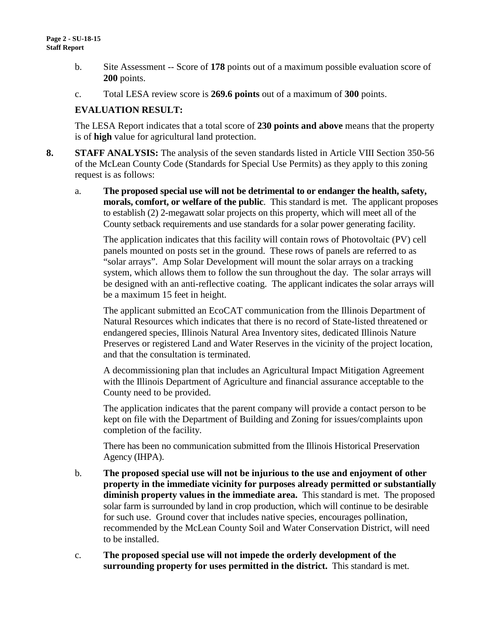- b. Site Assessment -- Score of **178** points out of a maximum possible evaluation score of **200** points.
- c. Total LESA review score is **269.6 points** out of a maximum of **300** points.

#### **EVALUATION RESULT:**

The LESA Report indicates that a total score of **230 points and above** means that the property is of **high** value for agricultural land protection.

- **8. STAFF ANALYSIS:** The analysis of the seven standards listed in Article VIII Section 350-56 of the McLean County Code (Standards for Special Use Permits) as they apply to this zoning request is as follows:
	- a. **The proposed special use will not be detrimental to or endanger the health, safety, morals, comfort, or welfare of the public**. This standard is met. The applicant proposes to establish (2) 2-megawatt solar projects on this property, which will meet all of the County setback requirements and use standards for a solar power generating facility.

The application indicates that this facility will contain rows of Photovoltaic (PV) cell panels mounted on posts set in the ground. These rows of panels are referred to as "solar arrays". Amp Solar Development will mount the solar arrays on a tracking system, which allows them to follow the sun throughout the day. The solar arrays will be designed with an anti-reflective coating. The applicant indicates the solar arrays will be a maximum 15 feet in height.

The applicant submitted an EcoCAT communication from the Illinois Department of Natural Resources which indicates that there is no record of State-listed threatened or endangered species, Illinois Natural Area Inventory sites, dedicated Illinois Nature Preserves or registered Land and Water Reserves in the vicinity of the project location, and that the consultation is terminated.

A decommissioning plan that includes an Agricultural Impact Mitigation Agreement with the Illinois Department of Agriculture and financial assurance acceptable to the County need to be provided.

The application indicates that the parent company will provide a contact person to be kept on file with the Department of Building and Zoning for issues/complaints upon completion of the facility.

There has been no communication submitted from the Illinois Historical Preservation Agency (IHPA).

- b. **The proposed special use will not be injurious to the use and enjoyment of other property in the immediate vicinity for purposes already permitted or substantially diminish property values in the immediate area.** This standard is met. The proposed solar farm is surrounded by land in crop production, which will continue to be desirable for such use. Ground cover that includes native species, encourages pollination, recommended by the McLean County Soil and Water Conservation District, will need to be installed.
- c. **The proposed special use will not impede the orderly development of the surrounding property for uses permitted in the district.** This standard is met.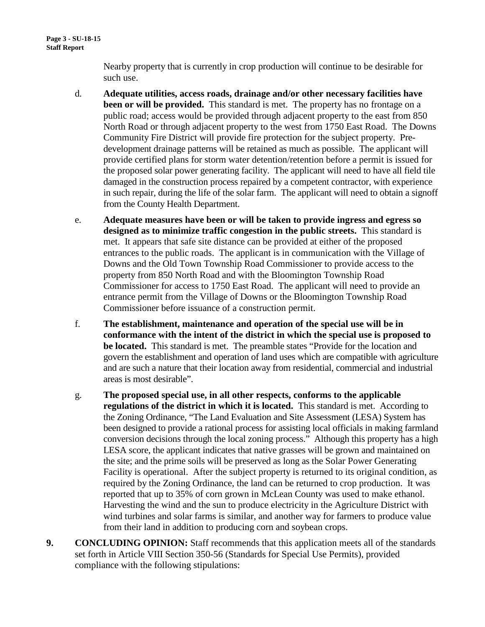Nearby property that is currently in crop production will continue to be desirable for such use.

- d. **Adequate utilities, access roads, drainage and/or other necessary facilities have been or will be provided.** This standard is met. The property has no frontage on a public road; access would be provided through adjacent property to the east from 850 North Road or through adjacent property to the west from 1750 East Road. The Downs Community Fire District will provide fire protection for the subject property. Predevelopment drainage patterns will be retained as much as possible. The applicant will provide certified plans for storm water detention/retention before a permit is issued for the proposed solar power generating facility. The applicant will need to have all field tile damaged in the construction process repaired by a competent contractor, with experience in such repair, during the life of the solar farm. The applicant will need to obtain a signoff from the County Health Department.
- e. **Adequate measures have been or will be taken to provide ingress and egress so designed as to minimize traffic congestion in the public streets.** This standard is met. It appears that safe site distance can be provided at either of the proposed entrances to the public roads. The applicant is in communication with the Village of Downs and the Old Town Township Road Commissioner to provide access to the property from 850 North Road and with the Bloomington Township Road Commissioner for access to 1750 East Road. The applicant will need to provide an entrance permit from the Village of Downs or the Bloomington Township Road Commissioner before issuance of a construction permit.
- f. **The establishment, maintenance and operation of the special use will be in conformance with the intent of the district in which the special use is proposed to be located.** This standard is met. The preamble states "Provide for the location and govern the establishment and operation of land uses which are compatible with agriculture and are such a nature that their location away from residential, commercial and industrial areas is most desirable".
- g. **The proposed special use, in all other respects, conforms to the applicable regulations of the district in which it is located.** This standard is met. According to the Zoning Ordinance, "The Land Evaluation and Site Assessment (LESA) System has been designed to provide a rational process for assisting local officials in making farmland conversion decisions through the local zoning process." Although this property has a high LESA score, the applicant indicates that native grasses will be grown and maintained on the site; and the prime soils will be preserved as long as the Solar Power Generating Facility is operational. After the subject property is returned to its original condition, as required by the Zoning Ordinance, the land can be returned to crop production. It was reported that up to 35% of corn grown in McLean County was used to make ethanol. Harvesting the wind and the sun to produce electricity in the Agriculture District with wind turbines and solar farms is similar, and another way for farmers to produce value from their land in addition to producing corn and soybean crops.
- **9. CONCLUDING OPINION:** Staff recommends that this application meets all of the standards set forth in Article VIII Section 350-56 (Standards for Special Use Permits), provided compliance with the following stipulations: